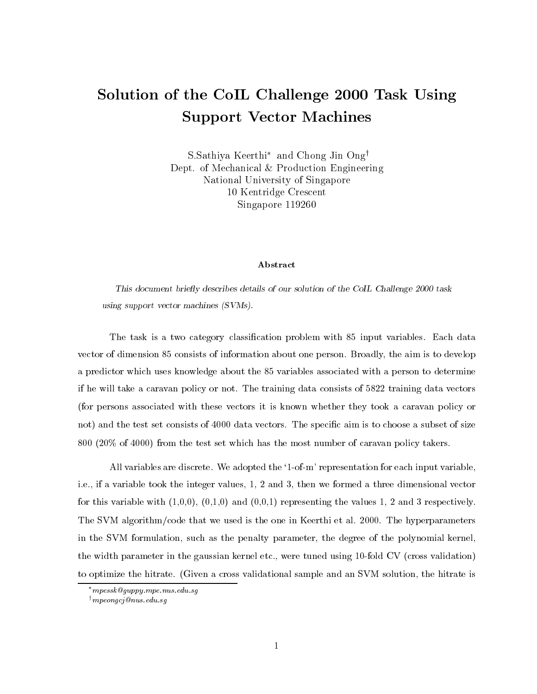## Solution of the CoIL Challenge <sup>2000</sup> Task Using Support Vector Machines

S.Sathiya Keerthi and Chong Jin Ong<sup>y</sup> Dept. of Mechanical & Production Engineering National University of Singapore 10 Kentridge Crescent Singapore 119260

## Abstract

This document briefly describes details of our solution of the CoIL Challenge 2000 task using support vector machines (SVMs).

The task is a two category classification problem with 85 input variables. Each data vector of dimension 85 consists of information about one person. Broadly, the aim is to develop a predictor which uses knowledge about the 85 variables associated with a person to determine if he will take a caravan policy or not. The training data consists of 5822 training data vectors (for persons associated with these vectors it is known whether they took a caravan policy or not) and the test set consists of 4000 data vectors. The specific aim is to choose a subset of size 800 (20% of 4000) from the test set which has the most number of caravan policy takers.

All variables are discrete. We adopted the '1-of-m' representation for each input variable, i.e., if a variable took the integer values, 1, 2 and 3, then we formed a three dimensional vector for this variable with  $(1,0,0)$ ,  $(0,1,0)$  and  $(0,0,1)$  representing the values 1, 2 and 3 respectively. The SVM algorithm/code that we used is the one in Keerthi et al. 2000. The hyperparameters in the SVM formulation, such as the penalty parameter, the degree of the polynomial kernel, the width parameter in the gaussian kernel etc., were tuned using 10-fold CV (cross validation) to optimize the hitrate. (Given a cross validational sample and an SVM solution, the hitrate is

mpessk@guppy.mpe.nus.edu.sg

 $\dagger$ mpeongcj@nus.edu.sg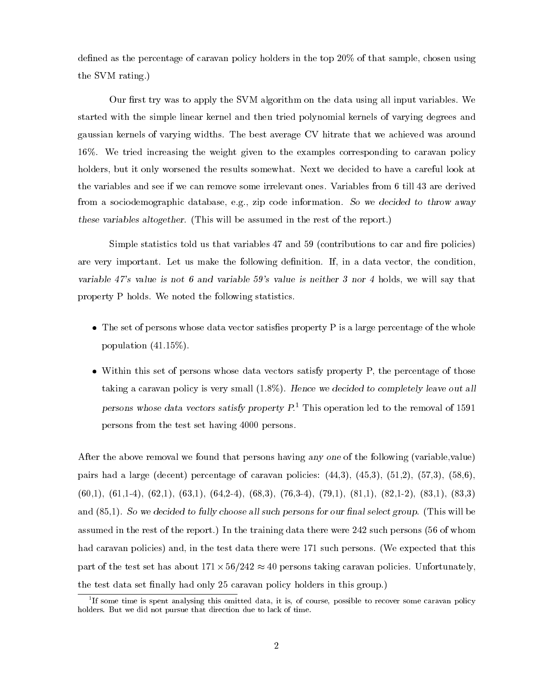defined as the percentage of caravan policy holders in the top  $20\%$  of that sample, chosen using the SVM rating.)

Our first try was to apply the SVM algorithm on the data using all input variables. We started with the simple linear kernel and then tried polynomial kernels of varying degrees and gaussian kernels of varying widths. The best average CV hitrate that we achieved was around 16%. We tried increasing the weight given to the examples corresponding to caravan policy holders, but it only worsened the results somewhat. Next we decided to have a careful look at the variables and see if we can remove some irrelevant ones. Variables from 6 till 43 are derived from a sociodemographic database, e.g., zip code information. So we decided to throw away these variables altogether. (This will be assumed in the rest of the report.)

Simple statistics told us that variables  $47$  and  $59$  (contributions to car and fire policies) are very important. Let us make the following definition. If, in a data vector, the condition, variable <sup>47</sup>'s value is not <sup>6</sup> and variable <sup>59</sup>'s value is neither <sup>3</sup> nor <sup>4</sup> holds, we will say that property P holds. We noted the following statistics.

- The set of persons whose data vector satises property P is a large percentage of the whole population (41.15%).
- Within this set of persons whose data vectors satisfy property P, the percentage of those taking a caravan policy is very small (1.8%). Hence we decided to completely leave out all persons whose data vectors satisfy property P.1 This operation led to the removal of 1591 persons from the test set having 4000 persons.

After the above removal we found that persons having any one of the following (variable,value) pairs had a large (decent) percentage of caravan policies:  $(44,3)$ ,  $(45,3)$ ,  $(51,2)$ ,  $(57,3)$ ,  $(58,6)$ ,  $(60,1), (61,1-4), (62,1), (63,1), (64,2-4), (68,3), (76,3-4), (79,1), (81,1), (82,1-2), (83,1), (83,3)$ and (85,1). So we decided to fully choose all such persons for our final select group. (This will be assumed in the rest of the report.) In the training data there were 242 such persons (56 of whom had caravan policies) and, in the test data there were 171 such persons. (We expected that this part of the test set has about 171 - 171 - 172 persons taking the caravant policies. Under the state  $\mathcal{G}$ the test data set finally had only 25 caravan policy holders in this group.)

<sup>1</sup> If some time is spent analysing this omitted data, it is, of course, possible to recover some caravan policy holders. But we did not pursue that direction due to lack of time.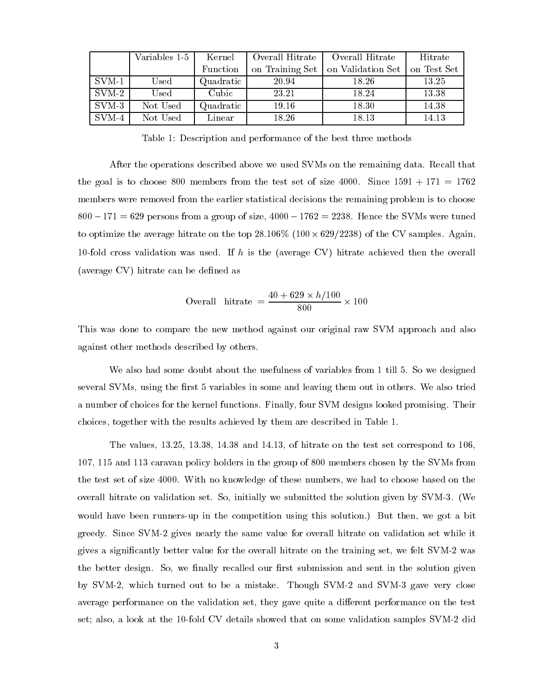|                         | Variables 1-5 | Kernel       | Overall Hitrate | Overall Hitrate   | Hitrate     |
|-------------------------|---------------|--------------|-----------------|-------------------|-------------|
|                         |               | Function     | on Training Set | on Validation Set | on Test Set |
| $SVM-1$                 | Used          | Quadratic    | 20.94           | 18.26             | 13.25       |
| $\mathrm{SVM}\text{-}2$ | Used          | Cubic        | 23.21           | 18.24             | 13.38       |
| $SVM-3$                 | Not Used      | Quadratic    | 19.16           | 18.30             | 14.38       |
| $SVM-4$                 | Not Used      | $\rm Linear$ | 18.26           | 18.13             | 14.13       |

Table 1: Description and performance of the best three methods

After the operations described above we used SVMs on the remaining data. Recall that the goal is to choose 800 members from the test set of size 4000. Since  $1591 + 171 = 1762$ members were removed from the earlier statistical decisions the remaining problem is to choose  $800 - 171 = 629$  persons from a group of size,  $4000 - 1762 = 2238$ . Hence the SVMs were tuned to optimize the average hitrate on the top 28.106% (100 - 629=2238) of the CV samples. Again, 10-fold cross validation was used. If h is the (average CV) hitrate achieved then the overall (average CV) hitrate can be defined as

Overall hitrate 
$$
= \frac{40 + 629 \times h/100}{800} \times 100
$$

This was done to compare the new method against our original raw SVM approach and also against other methods described by others.

We also had some doubt about the usefulness of variables from 1 till 5. So we designed several SVMs, using the first 5 variables in some and leaving them out in others. We also tried a number of choices for the kernel functions. Finally, four SVM designs looked promising. Their choices, together with the results achieved by them are described in Table 1.

The values, 13.25, 13.38, 14.38 and 14.13, of hitrate on the test set correspond to 106, 107, 115 and 113 caravan policy holders in the group of 800 members chosen by the SVMs from the test set of size 4000. With no knowledge of these numbers, we had to choose based on the overall hitrate on validation set. So, initially we submitted the solution given by SVM-3. (We would have been runners-up in the competition using this solution.) But then, we got a bit greedy. Since SVM-2 gives nearly the same value for overall hitrate on validation set while it gives a signicantly better value for the overall hitrate on the training set, we felt SVM-2 was the better design. So, we finally recalled our first submission and sent in the solution given by SVM-2, which turned out to be a mistake. Though SVM-2 and SVM-3 gave very close average performance on the validation set, they gave quite a different performance on the test set; also, a look at the 10-fold CV details showed that on some validation samples SVM-2 did